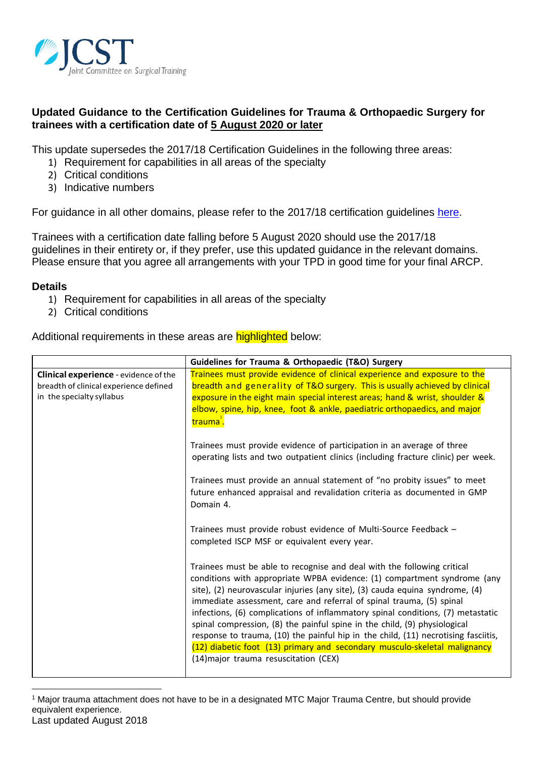

# **Updated Guidance to the Certification Guidelines for Trauma & Orthopaedic Surgery for trainees with a certification date of 5 August 2020 or later**

This update supersedes the 2017/18 Certification Guidelines in the following three areas:

- 1) Requirement for capabilities in all areas of the specialty
- 2) Critical conditions
- 3) Indicative numbers

For guidance in all other domains, please refer to the 2017/18 certification guidelines [here.](https://www.jcst.org/-/media/files/jcst/certification-guidelines-and-checklists/certification-guidelines--t_o-2017-final.pdf)

Trainees with a certification date falling before 5 August 2020 should use the 2017/18 guidelines in their entirety or, if they prefer, use this updated guidance in the relevant domains. Please ensure that you agree all arrangements with your TPD in good time for your final ARCP.

### **Details**

l

- 1) Requirement for capabilities in all areas of the specialty
- 2) Critical conditions

Additional requirements in these areas are **highlighted** below:

|                                                                                                                     | Guidelines for Trauma & Orthopaedic (T&O) Surgery                                                                                                                                                                                                                                                                                                                                                                                                                                                                                                                                                                                                                                       |  |  |
|---------------------------------------------------------------------------------------------------------------------|-----------------------------------------------------------------------------------------------------------------------------------------------------------------------------------------------------------------------------------------------------------------------------------------------------------------------------------------------------------------------------------------------------------------------------------------------------------------------------------------------------------------------------------------------------------------------------------------------------------------------------------------------------------------------------------------|--|--|
| <b>Clinical experience</b> - evidence of the<br>breadth of clinical experience defined<br>in the specialty syllabus | Trainees must provide evidence of clinical experience and exposure to the<br>breadth and generality of T&O surgery. This is usually achieved by clinical<br>exposure in the eight main special interest areas; hand & wrist, shoulder &<br>elbow, spine, hip, knee, foot & ankle, paediatric orthopaedics, and major<br>trauma <sup>+</sup> .                                                                                                                                                                                                                                                                                                                                           |  |  |
|                                                                                                                     | Trainees must provide evidence of participation in an average of three<br>operating lists and two outpatient clinics (including fracture clinic) per week.                                                                                                                                                                                                                                                                                                                                                                                                                                                                                                                              |  |  |
|                                                                                                                     | Trainees must provide an annual statement of "no probity issues" to meet<br>future enhanced appraisal and revalidation criteria as documented in GMP<br>Domain 4.                                                                                                                                                                                                                                                                                                                                                                                                                                                                                                                       |  |  |
|                                                                                                                     | Trainees must provide robust evidence of Multi-Source Feedback -<br>completed ISCP MSF or equivalent every year.                                                                                                                                                                                                                                                                                                                                                                                                                                                                                                                                                                        |  |  |
|                                                                                                                     | Trainees must be able to recognise and deal with the following critical<br>conditions with appropriate WPBA evidence: (1) compartment syndrome (any<br>site), (2) neurovascular injuries (any site), (3) cauda equina syndrome, (4)<br>immediate assessment, care and referral of spinal trauma, (5) spinal<br>infections, (6) complications of inflammatory spinal conditions, (7) metastatic<br>spinal compression, (8) the painful spine in the child, (9) physiological<br>response to trauma, (10) the painful hip in the child, (11) necrotising fasciitis,<br>(12) diabetic foot (13) primary and secondary musculo-skeletal malignancy<br>(14) major trauma resuscitation (CEX) |  |  |

Last updated August 2018 <sup>1</sup> Major trauma attachment does not have to be in a designated MTC Major Trauma Centre, but should provide equivalent experience.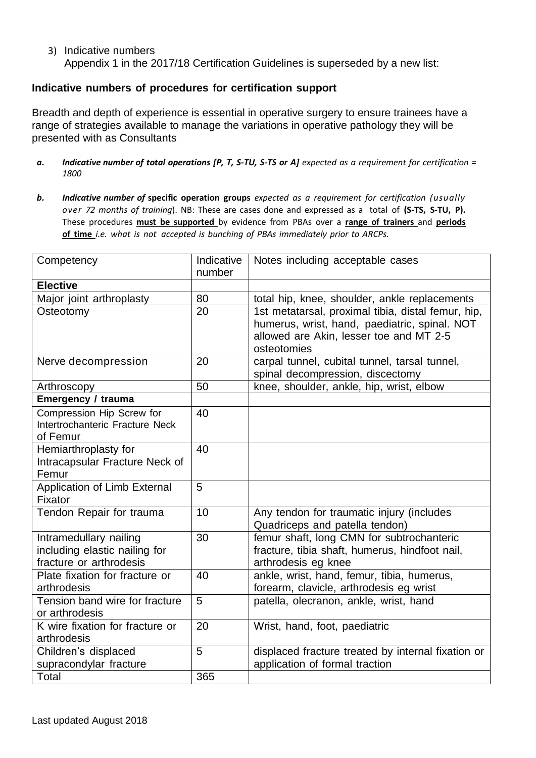3) Indicative numbers Appendix 1 in the 2017/18 Certification Guidelines is superseded by a new list:

## **Indicative numbers of procedures for certification support**

Breadth and depth of experience is essential in operative surgery to ensure trainees have a range of strategies available to manage the variations in operative pathology they will be presented with as Consultants

- $a.$  Indicative number of total operations [P, T, S-TU, S-TS or A] expected as a requirement for certification = *1800*
- *b. Indicative number of* **specific operation groups** *expected as a requirement for certification (usually over 72 months of training*). NB: These are cases done and expressed as a total of **(S-TS, S-TU, P).** These procedures **must be supported** by evidence from PBAs over a **range of trainers** and **periods of time** *i.e. what is not accepted is bunching of PBAs immediately prior to ARCPs.*

| Competency                                                                         | Indicative<br>number | Notes including acceptable cases                                                                                                                              |
|------------------------------------------------------------------------------------|----------------------|---------------------------------------------------------------------------------------------------------------------------------------------------------------|
| <b>Elective</b>                                                                    |                      |                                                                                                                                                               |
| Major joint arthroplasty                                                           | 80                   | total hip, knee, shoulder, ankle replacements                                                                                                                 |
| Osteotomy                                                                          | 20                   | 1st metatarsal, proximal tibia, distal femur, hip,<br>humerus, wrist, hand, paediatric, spinal. NOT<br>allowed are Akin, lesser toe and MT 2-5<br>osteotomies |
| Nerve decompression                                                                | 20                   | carpal tunnel, cubital tunnel, tarsal tunnel,<br>spinal decompression, discectomy                                                                             |
| Arthroscopy                                                                        | 50                   | knee, shoulder, ankle, hip, wrist, elbow                                                                                                                      |
| <b>Emergency / trauma</b>                                                          |                      |                                                                                                                                                               |
| Compression Hip Screw for<br>Intertrochanteric Fracture Neck<br>of Femur           | 40                   |                                                                                                                                                               |
| Hemiarthroplasty for<br>Intracapsular Fracture Neck of<br>Femur                    | 40                   |                                                                                                                                                               |
| Application of Limb External<br>Fixator                                            | 5                    |                                                                                                                                                               |
| Tendon Repair for trauma                                                           | 10                   | Any tendon for traumatic injury (includes<br>Quadriceps and patella tendon)                                                                                   |
| Intramedullary nailing<br>including elastic nailing for<br>fracture or arthrodesis | 30                   | femur shaft, long CMN for subtrochanteric<br>fracture, tibia shaft, humerus, hindfoot nail,<br>arthrodesis eg knee                                            |
| Plate fixation for fracture or<br>arthrodesis                                      | 40                   | ankle, wrist, hand, femur, tibia, humerus,<br>forearm, clavicle, arthrodesis eg wrist                                                                         |
| Tension band wire for fracture<br>or arthrodesis                                   | 5                    | patella, olecranon, ankle, wrist, hand                                                                                                                        |
| K wire fixation for fracture or<br>arthrodesis                                     | 20                   | Wrist, hand, foot, paediatric                                                                                                                                 |
| Children's displaced<br>supracondylar fracture                                     | 5                    | displaced fracture treated by internal fixation or<br>application of formal traction                                                                          |
| Total                                                                              | 365                  |                                                                                                                                                               |